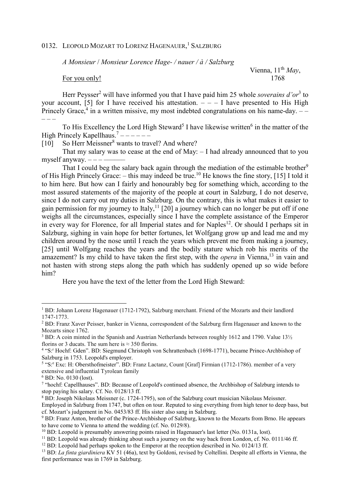## 0132. LEOPOLD MOZART TO LORENZ HAGENAUER,<sup>1</sup> SALZBURG

*A Monsieur* / *Monsieur Lorence Hage- / nauer / à / Salzburg*

For you only! 1768

Vienna, 11<sup>th</sup> May,

Herr Peysser<sup>2</sup> will have informed you that I have paid him 25 whole *soverains d'or*<sup>3</sup> to your account, [5] for I have received his attestation.  $- - -$  I have presented to His High Princely Grace,<sup>4</sup> in a written missive, my most indebted congratulations on his name-day.  $--$ – – –

To His Excellency the Lord High Steward<sup>5</sup> I have likewise written<sup>6</sup> in the matter of the High Princely Kapellhaus.<sup>7</sup> ------

[10] So Herr Meissner<sup>8</sup> wants to travel? And where?

 That my salary was to cease at the end of May: – I had already announced that to you myself anyway.  $---$ 

That I could beg the salary back again through the mediation of the estimable brother<sup>9</sup> of His High Princely Grace: – this may indeed be true.<sup>10</sup> He knows the fine story, [15] I told it to him here. But how can I fairly and honourably beg for something which, according to the most assured statements of the majority of the people at court in Salzburg, I do not deserve, since I do not carry out my duties in Salzburg. On the contrary, this is what makes it easier to gain permission for my journey to Italy,<sup>11</sup> [20] a journey which can no longer be put off if one weighs all the circumstances, especially since I have the complete assistance of the Emperor in every way for Florence, for all Imperial states and for Naples<sup>12</sup>. Or should I perhaps sit in Salzburg, sighing in vain hope for better fortunes, let Wolfgang grow up and lead me and my children around by the nose until I reach the years which prevent me from making a journey, [25] until Wolfgang reaches the years and the bodily stature which rob his merits of the amazement? Is my child to have taken the first step, with the *opera* in Vienna,<sup>13</sup> in vain and not hasten with strong steps along the path which has suddenly opened up so wide before him?

Here you have the text of the letter from the Lord High Steward:

 $\overline{a}$ 

<sup>&</sup>lt;sup>1</sup> BD: Johann Lorenz Hagenauer (1712-1792), Salzburg merchant. Friend of the Mozarts and their landlord 1747-1773.

<sup>&</sup>lt;sup>2</sup> BD: Franz Xaver Peisser, banker in Vienna, correspondent of the Salzburg firm Hagenauer and known to the Mozarts since 1762.

 $3$  BD: A coin minted in the Spanish and Austrian Netherlands between roughly 1612 and 1790. Value 13 $\frac{1}{2}$ florins or 3 ducats. The sum here is  $\approx$  350 florins.

<sup>&</sup>lt;sup>4</sup> "S:<sup>r</sup> Hochf: Gden". BD: Siegmund Christoph von Schrattenbach (1698-1771), became Prince-Archbishop of Salzburg in 1753. Leopold's employer.

<sup>&</sup>lt;sup>5</sup> "S:<sup>e</sup> Exc: H: Obersthofmeister". BD: Franz Lactanz, Count [Graf] Firmian (1712-1786). member of a very extensive and influential Tyrolean family

<sup>6</sup> BD: No. 0130 (lost).

<sup>&</sup>lt;sup>7</sup> "hochf: Capellhauses". BD: Because of Leopold's continued absence, the Archbishop of Salzburg intends to stop paying his salary. Cf. No. 0128/13 ff.

<sup>&</sup>lt;sup>8</sup> BD: Joseph Nikolaus Meissner (c. 1724-1795), son of the Salzburg court musician Nikolaus Meissner.

Employed in Salzburg from 1747, but often on tour. Reputed to sing everything from high tenor to deep bass, but cf. Mozart's judgement in No. 0453/83 ff. His sister also sang in Salzburg.

<sup>&</sup>lt;sup>9</sup> BD: Franz Anton, brother of the Prince-Archbishop of Salzburg, known to the Mozarts from Brno. He appears to have come to Vienna to attend the wedding (cf. No. 0129/8).

<sup>&</sup>lt;sup>10</sup> BD: Leopold is presumably answering points raised in Hagenauer's last letter (No. 0131a, lost).

<sup>&</sup>lt;sup>11</sup> BD: Leopold was already thinking about such a journey on the way back from London, cf. No. 0111/46 ff.

<sup>&</sup>lt;sup>12</sup> BD: Leopold had perhaps spoken to the Emperor at the reception described in No. 0124/13 ff.

<sup>&</sup>lt;sup>13</sup> BD: *La finta giardiniera* KV 51 (46a), text by Goldoni, revised by Coltellini. Despite all efforts in Vienna, the first performance was in 1769 in Salzburg.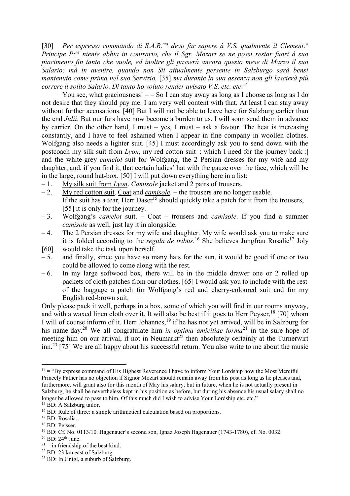[30] *Per espresso commando di S.A.R.ma devo far sapere à V.S. qualmente il Clement:<sup>o</sup> Principe P:re niente abbia in contrario, che il Sgr. Mozart se ne possi restar fuori à suo piacimento fin tanto che vuole, ed inoltre gli passerà ancora questo mese di Marzo il suo Salario; mà in avenire, quando non Sii attualmente persente in Salzburgo sarà bensi mantenuto come prima nel suo Servizio,* [35] *ma durante la sua assenza non gli lascierà più correre il solito Salario. Di tanto ho voluto render avisato V.S. etc. etc*. 14

You see, what graciousness!  $-$  So I can stay away as long as I choose as long as I do not desire that they should pay me. I am very well content with that. At least I can stay away without further accusations. [40] But I will not be able to leave here for Salzburg earlier than the end *Julii*. But our furs have now become a burden to us. I will soon send them in advance by carrier. On the other hand, I must – yes, I must – ask a favour. The heat is increasing constantly, and I have to feel ashamed when I appear in fine company in woollen clothes. Wolfgang also needs a lighter suit. [45] I must accordingly ask you to send down with the postcoach my silk suit from *Lyon*, my red cotton suit |: which I need for the journey back :| and the white-grey *camelot* suit for Wolfgang, the 2 Persian dresses for my wife and my daughter, and, if you find it, that certain ladies' hat with the gauze over the face, which will be in the large, round hat-box. [50] I will put down everything here in a list:

- 1. My silk suit from *Lyon*. *Camisole* jacket and 2 pairs of trousers.
- 2. My red cotton suit. Coat and *camisole*. the trousers are no longer usable. If the suit has a tear, Herr Daser<sup>15</sup> should quickly take a patch for it from the trousers, [55] it is only for the journey.
- 3. Wolfgang's *camelot* suit. Coat trousers and *camisole*. If you find a summer *camisole* as well, just lay it in alongside.
- 4. The 2 Persian dresses for my wife and daughter. My wife would ask you to make sure it is folded according to the *regula de tribus*.<sup>16</sup> She believes Jungfrau Rosalie<sup>17</sup> Joly
- [60] would take the task upon herself.
- $-5$ . and finally, since you have so many hats for the sun, it would be good if one or two could be allowed to come along with the rest.
- $-6$ . In my large softwood box, there will be in the middle drawer one or 2 rolled up packets of cloth patches from our clothes. [65] I would ask you to include with the rest of the baggage a patch for Wolfgang's red and cherry-coloured suit and for my English red-brown suit.

Only please pack it well, perhaps in a box, some of which you will find in our rooms anyway, and with a waxed linen cloth over it. It will also be best if it goes to Herr Peyser,<sup>18</sup> [70] whom I will of course inform of it. Herr Johannes,<sup>19</sup> if he has not yet arrived, will be in Salzburg for his name-day.<sup>20</sup> We all congratulate him *in optima amicitiae forma*<sup>21</sup> in the sure hope of meeting him on our arrival, if not in Neumarkt<sup>22</sup> then absolutely certainly at the Turnerwirt inn.<sup>23</sup> [75] We are all happy about his successful return. You also write to me about the music

 $\overline{a}$  $14 =$  "By express command of His Highest Reverence I have to inform Your Lordship how the Most Merciful Princely Father has no objection if Signor Mozart should remain away from his post as long as he pleases and, furthermore, will grant also for this month of May his salary, but in future, when he is not actually present in Salzburg, he shall be nevertheless kept in his position as before, but during his absence his usual salary shall no longer be allowed to pass to him. Of this much did I wish to advise Your Lordship etc. etc."

<sup>&</sup>lt;sup>15</sup> BD: A Salzburg tailor.

<sup>&</sup>lt;sup>16</sup> BD: Rule of three: a simple arithmetical calculation based on proportions.

<sup>17</sup> BD: Rosalia.

<sup>18</sup> BD: Peisser.

<sup>&</sup>lt;sup>19</sup> BD: Cf. No. 0113/10. Hagenauer's second son, Ignaz Joseph Hagenauer (1743-1780), cf. No. 0032.

<sup>&</sup>lt;sup>20</sup> BD: 24<sup>th</sup> June.

 $21 =$  in friendship of the best kind.

<sup>&</sup>lt;sup>22</sup> BD: 23 km east of Salzburg.

<sup>23</sup> BD: In Gnigl, a suburb of Salzburg.